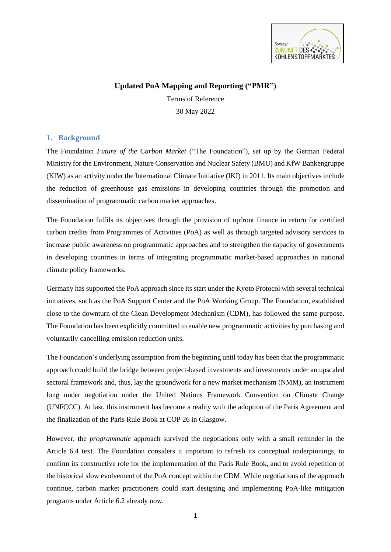

# **Updated PoA Mapping and Reporting ("PMR")**

Terms of Reference 30 May 2022

### **1. Background**

The Foundation *Future of the Carbon Market* ("The Foundation"), set up by the German Federal Ministry for the Environment, Nature Conservation and Nuclear Safety (BMU) and KfW Bankengruppe (KfW) as an activity under the International Climate Initiative (IKI) in 2011. Its main objectives include the reduction of greenhouse gas emissions in developing countries through the promotion and dissemination of programmatic carbon market approaches.

The Foundation fulfils its objectives through the provision of upfront finance in return for certified carbon credits from Programmes of Activities (PoA) as well as through targeted advisory services to increase public awareness on programmatic approaches and to strengthen the capacity of governments in developing countries in terms of integrating programmatic market-based approaches in national climate policy frameworks.

Germany has supported the PoA approach since its start under the Kyoto Protocol with several technical initiatives, such as the PoA Support Center and the PoA Working Group. The Foundation, established close to the downturn of the Clean Development Mechanism (CDM), has followed the same purpose. The Foundation has been explicitly committed to enable new programmatic activities by purchasing and voluntarily cancelling emission reduction units.

The Foundation's underlying assumption from the beginning until today has been that the programmatic approach could build the bridge between project-based investments and investments under an upscaled sectoral framework and, thus, lay the groundwork for a new market mechanism (NMM), an instrument long under negotiation under the United Nations Framework Convention on Climate Change (UNFCCC). At last, this instrument has become a reality with the adoption of the Paris Agreement and the finalization of the Paris Rule Book at COP 26 in Glasgow.

However, the *programmatic* approach survived the negotiations only with a small reminder in the Article 6.4 text. The Foundation considers it important to refresh its conceptual underpinnings, to confirm its constructive role for the implementation of the Paris Rule Book, and to avoid repetition of the historical slow evolvement of the PoA concept within the CDM. While negotiations of the approach continue, carbon market practitioners could start designing and implementing PoA-like mitigation programs under Article 6.2 already now.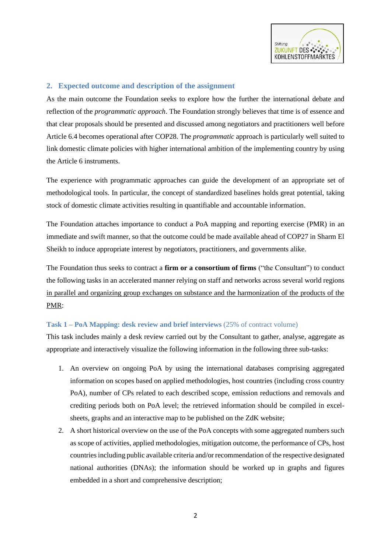

## **2. Expected outcome and description of the assignment**

As the main outcome the Foundation seeks to explore how the further the international debate and reflection of the *programmatic approach*. The Foundation strongly believes that time is of essence and that clear proposals should be presented and discussed among negotiators and practitioners well before Article 6.4 becomes operational after COP28. The *programmatic* approach is particularly well suited to link domestic climate policies with higher international ambition of the implementing country by using the Article 6 instruments.

The experience with programmatic approaches can guide the development of an appropriate set of methodological tools. In particular, the concept of standardized baselines holds great potential, taking stock of domestic climate activities resulting in quantifiable and accountable information.

The Foundation attaches importance to conduct a PoA mapping and reporting exercise (PMR) in an immediate and swift manner, so that the outcome could be made available ahead of COP27 in Sharm El Sheikh to induce appropriate interest by negotiators, practitioners, and governments alike.

The Foundation thus seeks to contract a **firm or a consortium of firms** ("the Consultant") to conduct the following tasks in an accelerated manner relying on staff and networks across several world regions in parallel and organizing group exchanges on substance and the harmonization of the products of the PMR:

#### **Task 1 – PoA Mapping: desk review and brief interviews** (25% of contract volume)

This task includes mainly a desk review carried out by the Consultant to gather, analyse, aggregate as appropriate and interactively visualize the following information in the following three sub-tasks:

- 1. An overview on ongoing PoA by using the international databases comprising aggregated information on scopes based on applied methodologies, host countries (including cross country PoA), number of CPs related to each described scope, emission reductions and removals and crediting periods both on PoA level; the retrieved information should be compiled in excelsheets, graphs and an interactive map to be published on the ZdK website;
- 2. A short historical overview on the use of the PoA concepts with some aggregated numbers such as scope of activities, applied methodologies, mitigation outcome, the performance of CPs, host countries including public available criteria and/or recommendation of the respective designated national authorities (DNAs); the information should be worked up in graphs and figures embedded in a short and comprehensive description;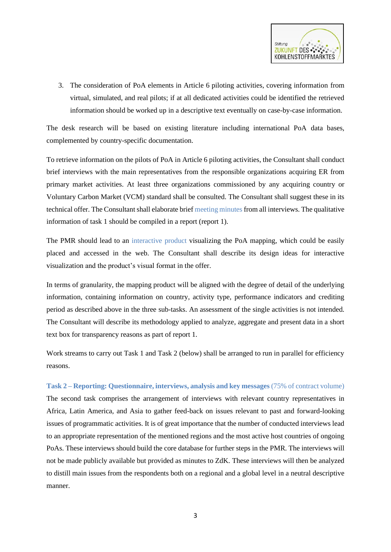

3. The consideration of PoA elements in Article 6 piloting activities, covering information from virtual, simulated, and real pilots; if at all dedicated activities could be identified the retrieved information should be worked up in a descriptive text eventually on case-by-case information.

The desk research will be based on existing literature including international PoA data bases, complemented by country-specific documentation.

To retrieve information on the pilots of PoA in Article 6 piloting activities, the Consultant shall conduct brief interviews with the main representatives from the responsible organizations acquiring ER from primary market activities. At least three organizations commissioned by any acquiring country or Voluntary Carbon Market (VCM) standard shall be consulted. The Consultant shall suggest these in its technical offer. The Consultant shall elaborate brief meeting minutes from all interviews. The qualitative information of task 1 should be compiled in a report (report 1).

The PMR should lead to an interactive product visualizing the PoA mapping, which could be easily placed and accessed in the web. The Consultant shall describe its design ideas for interactive visualization and the product's visual format in the offer.

In terms of granularity, the mapping product will be aligned with the degree of detail of the underlying information, containing information on country, activity type, performance indicators and crediting period as described above in the three sub-tasks. An assessment of the single activities is not intended. The Consultant will describe its methodology applied to analyze, aggregate and present data in a short text box for transparency reasons as part of report 1.

Work streams to carry out Task 1 and Task 2 (below) shall be arranged to run in parallel for efficiency reasons.

**Task 2 – Reporting: Questionnaire, interviews, analysis and key messages** (75% of contract volume) The second task comprises the arrangement of interviews with relevant country representatives in Africa, Latin America, and Asia to gather feed-back on issues relevant to past and forward-looking issues of programmatic activities. It is of great importance that the number of conducted interviews lead to an appropriate representation of the mentioned regions and the most active host countries of ongoing PoAs. These interviews should build the core database for further steps in the PMR. The interviews will not be made publicly available but provided as minutes to ZdK. These interviews will then be analyzed to distill main issues from the respondents both on a regional and a global level in a neutral descriptive manner.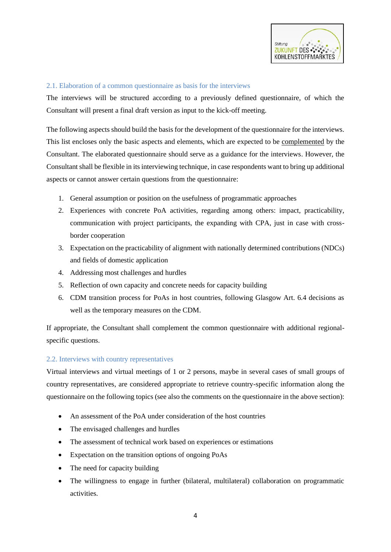

### 2.1. Elaboration of a common questionnaire as basis for the interviews

The interviews will be structured according to a previously defined questionnaire, of which the Consultant will present a final draft version as input to the kick-off meeting.

The following aspects should build the basis for the development of the questionnaire for the interviews. This list encloses only the basic aspects and elements, which are expected to be complemented by the Consultant. The elaborated questionnaire should serve as a guidance for the interviews. However, the Consultant shall be flexible in its interviewing technique, in case respondents want to bring up additional aspects or cannot answer certain questions from the questionnaire:

- 1. General assumption or position on the usefulness of programmatic approaches
- 2. Experiences with concrete PoA activities, regarding among others: impact, practicability, communication with project participants, the expanding with CPA, just in case with crossborder cooperation
- 3. Expectation on the practicability of alignment with nationally determined contributions (NDCs) and fields of domestic application
- 4. Addressing most challenges and hurdles
- 5. Reflection of own capacity and concrete needs for capacity building
- 6. CDM transition process for PoAs in host countries, following Glasgow Art. 6.4 decisions as well as the temporary measures on the CDM.

If appropriate, the Consultant shall complement the common questionnaire with additional regionalspecific questions.

#### 2.2. Interviews with country representatives

Virtual interviews and virtual meetings of 1 or 2 persons, maybe in several cases of small groups of country representatives, are considered appropriate to retrieve country-specific information along the questionnaire on the following topics (see also the comments on the questionnaire in the above section):

- An assessment of the PoA under consideration of the host countries
- The envisaged challenges and hurdles
- The assessment of technical work based on experiences or estimations
- Expectation on the transition options of ongoing PoAs
- The need for capacity building
- The willingness to engage in further (bilateral, multilateral) collaboration on programmatic activities.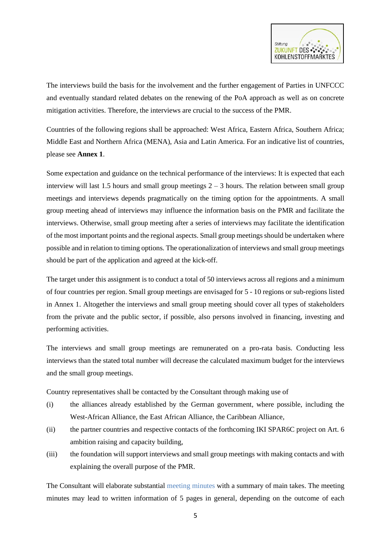

The interviews build the basis for the involvement and the further engagement of Parties in UNFCCC and eventually standard related debates on the renewing of the PoA approach as well as on concrete mitigation activities. Therefore, the interviews are crucial to the success of the PMR.

Countries of the following regions shall be approached: West Africa, Eastern Africa, Southern Africa; Middle East and Northern Africa (MENA), Asia and Latin America. For an indicative list of countries, please see **Annex 1**.

Some expectation and guidance on the technical performance of the interviews: It is expected that each interview will last 1.5 hours and small group meetings  $2 - 3$  hours. The relation between small group meetings and interviews depends pragmatically on the timing option for the appointments. A small group meeting ahead of interviews may influence the information basis on the PMR and facilitate the interviews. Otherwise, small group meeting after a series of interviews may facilitate the identification of the most important points and the regional aspects. Small group meetings should be undertaken where possible and in relation to timing options. The operationalization of interviews and small group meetings should be part of the application and agreed at the kick-off.

The target under this assignment is to conduct a total of 50 interviews across all regions and a minimum of four countries per region. Small group meetings are envisaged for 5 - 10 regions or sub-regions listed in Annex 1. Altogether the interviews and small group meeting should cover all types of stakeholders from the private and the public sector, if possible, also persons involved in financing, investing and performing activities.

The interviews and small group meetings are remunerated on a pro-rata basis. Conducting less interviews than the stated total number will decrease the calculated maximum budget for the interviews and the small group meetings.

Country representatives shall be contacted by the Consultant through making use of

- (i) the alliances already established by the German government, where possible, including the West-African Alliance, the East African Alliance, the Caribbean Alliance,
- (ii) the partner countries and respective contacts of the forthcoming IKI SPAR6C project on Art. 6 ambition raising and capacity building,
- (iii) the foundation will support interviews and small group meetings with making contacts and with explaining the overall purpose of the PMR.

The Consultant will elaborate substantial meeting minutes with a summary of main takes. The meeting minutes may lead to written information of 5 pages in general, depending on the outcome of each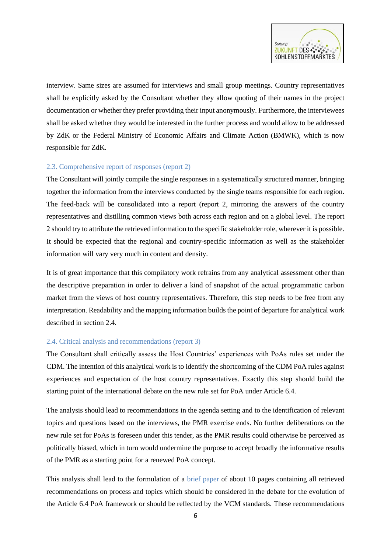

interview. Same sizes are assumed for interviews and small group meetings. Country representatives shall be explicitly asked by the Consultant whether they allow quoting of their names in the project documentation or whether they prefer providing their input anonymously. Furthermore, the interviewees shall be asked whether they would be interested in the further process and would allow to be addressed by ZdK or the Federal Ministry of Economic Affairs and Climate Action (BMWK), which is now responsible for ZdK.

### 2.3. Comprehensive report of responses (report 2)

The Consultant will jointly compile the single responses in a systematically structured manner, bringing together the information from the interviews conducted by the single teams responsible for each region. The feed-back will be consolidated into a report (report 2, mirroring the answers of the country representatives and distilling common views both across each region and on a global level. The report 2 should try to attribute the retrieved information to the specific stakeholder role, wherever it is possible. It should be expected that the regional and country-specific information as well as the stakeholder information will vary very much in content and density.

It is of great importance that this compilatory work refrains from any analytical assessment other than the descriptive preparation in order to deliver a kind of snapshot of the actual programmatic carbon market from the views of host country representatives. Therefore, this step needs to be free from any interpretation. Readability and the mapping information builds the point of departure for analytical work described in section 2.4.

#### 2.4. Critical analysis and recommendations (report 3)

The Consultant shall critically assess the Host Countries' experiences with PoAs rules set under the CDM. The intention of this analytical work is to identify the shortcoming of the CDM PoA rules against experiences and expectation of the host country representatives. Exactly this step should build the starting point of the international debate on the new rule set for PoA under Article 6.4.

The analysis should lead to recommendations in the agenda setting and to the identification of relevant topics and questions based on the interviews, the PMR exercise ends. No further deliberations on the new rule set for PoAs is foreseen under this tender, as the PMR results could otherwise be perceived as politically biased, which in turn would undermine the purpose to accept broadly the informative results of the PMR as a starting point for a renewed PoA concept.

This analysis shall lead to the formulation of a brief paper of about 10 pages containing all retrieved recommendations on process and topics which should be considered in the debate for the evolution of the Article 6.4 PoA framework or should be reflected by the VCM standards. These recommendations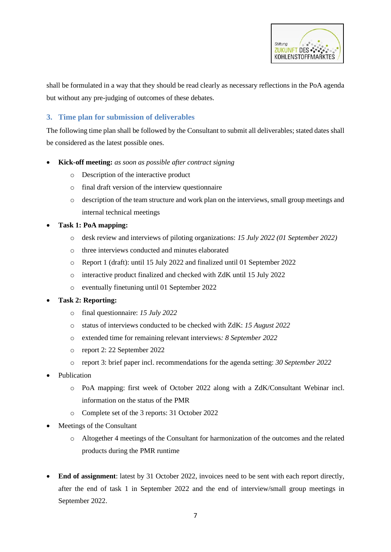

shall be formulated in a way that they should be read clearly as necessary reflections in the PoA agenda but without any pre-judging of outcomes of these debates.

# **3. Time plan for submission of deliverables**

The following time plan shall be followed by the Consultant to submit all deliverables; stated dates shall be considered as the latest possible ones.

- **Kick-off meeting:** *as soon as possible after contract signing*
	- o Description of the interactive product
	- o final draft version of the interview questionnaire
	- o description of the team structure and work plan on the interviews, small group meetings and internal technical meetings
- **Task 1: PoA mapping:**
	- o desk review and interviews of piloting organizations: *15 July 2022 (01 September 2022)*
	- o three interviews conducted and minutes elaborated
	- o Report 1 (draft): until 15 July 2022 and finalized until 01 September 2022
	- o interactive product finalized and checked with ZdK until 15 July 2022
	- o eventually finetuning until 01 September 2022

#### • **Task 2: Reporting:**

- o final questionnaire: *15 July 2022*
- o status of interviews conducted to be checked with ZdK: *15 August 2022*
- o extended time for remaining relevant interviews*: 8 September 2022*
- o report 2: 22 September 2022
- o report 3: brief paper incl. recommendations for the agenda setting: *30 September 2022*
- Publication
	- o PoA mapping: first week of October 2022 along with a ZdK/Consultant Webinar incl. information on the status of the PMR
	- o Complete set of the 3 reports: 31 October 2022
- Meetings of the Consultant
	- o Altogether 4 meetings of the Consultant for harmonization of the outcomes and the related products during the PMR runtime
- **End of assignment**: latest by 31 October 2022, invoices need to be sent with each report directly, after the end of task 1 in September 2022 and the end of interview/small group meetings in September 2022.